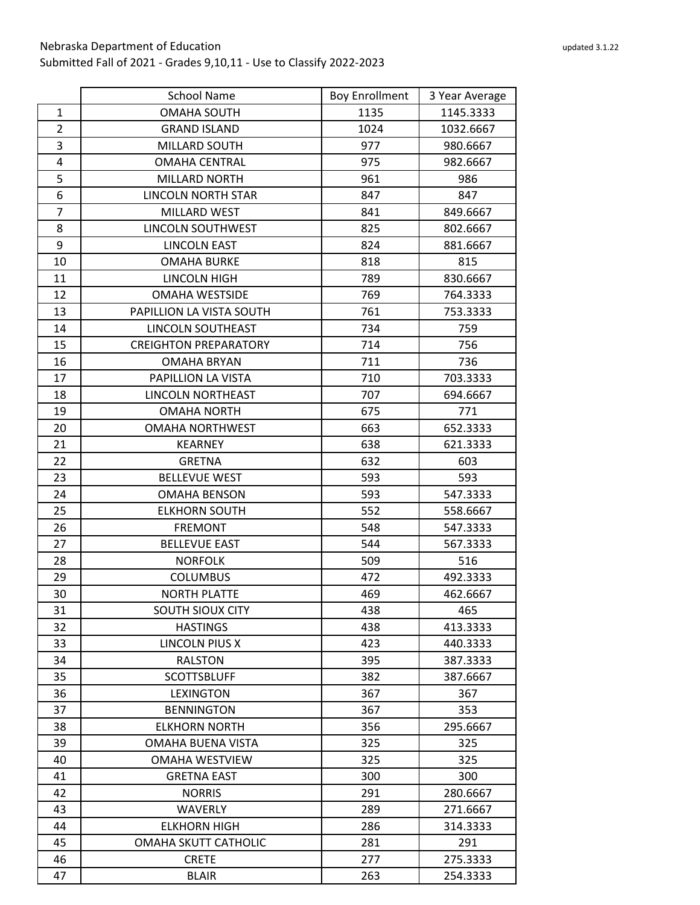| 1              | <b>OMAHA SOUTH</b>           | 1135 | 1145.3333 |
|----------------|------------------------------|------|-----------|
| $\overline{2}$ | <b>GRAND ISLAND</b>          | 1024 | 1032.6667 |
| 3              | MILLARD SOUTH                | 977  | 980.6667  |
| 4              | <b>OMAHA CENTRAL</b>         | 975  | 982.6667  |
| 5              | <b>MILLARD NORTH</b>         | 961  | 986       |
| 6              | LINCOLN NORTH STAR           | 847  | 847       |
| 7              | <b>MILLARD WEST</b>          | 841  | 849.6667  |
| 8              | LINCOLN SOUTHWEST            | 825  | 802.6667  |
| 9              | LINCOLN EAST                 | 824  | 881.6667  |
| 10             | <b>OMAHA BURKE</b>           | 818  | 815       |
| 11             | LINCOLN HIGH                 | 789  | 830.6667  |
| 12             | <b>OMAHA WESTSIDE</b>        | 769  | 764.3333  |
| 13             | PAPILLION LA VISTA SOUTH     | 761  | 753.3333  |
| 14             | LINCOLN SOUTHEAST            | 734  | 759       |
| 15             | <b>CREIGHTON PREPARATORY</b> | 714  | 756       |
| 16             | <b>OMAHA BRYAN</b>           | 711  | 736       |
| 17             | PAPILLION LA VISTA           | 710  | 703.3333  |
| 18             | LINCOLN NORTHEAST            | 707  | 694.6667  |
| 19             | <b>OMAHA NORTH</b>           | 675  | 771       |
| 20             | <b>OMAHA NORTHWEST</b>       | 663  | 652.3333  |
| 21             | <b>KEARNEY</b>               | 638  | 621.3333  |
| 22             | <b>GRETNA</b>                | 632  | 603       |
| 23             | <b>BELLEVUE WEST</b>         | 593  | 593       |
| 24             | <b>OMAHA BENSON</b>          | 593  | 547.3333  |
| 25             | <b>ELKHORN SOUTH</b>         | 552  | 558.6667  |
| 26             | <b>FREMONT</b>               | 548  | 547.3333  |
| 27             | <b>BELLEVUE EAST</b>         | 544  | 567.3333  |
| 28             | <b>NORFOLK</b>               | 509  | 516       |
| 29             | <b>COLUMBUS</b>              | 472  | 492.3333  |
| 30             | <b>NORTH PLATTE</b>          | 469  | 462.6667  |
| 31             | <b>SOUTH SIOUX CITY</b>      | 438  | 465       |
| 32             | <b>HASTINGS</b>              | 438  | 413.3333  |
| 33             | LINCOLN PIUS X               | 423  | 440.3333  |
| 34             | <b>RALSTON</b>               | 395  | 387.3333  |
| 35             | <b>SCOTTSBLUFF</b>           | 382  | 387.6667  |
| 36             | <b>LEXINGTON</b>             | 367  | 367       |
| 37             | <b>BENNINGTON</b>            | 367  | 353       |
| 38             | <b>ELKHORN NORTH</b>         | 356  | 295.6667  |
| 39             | <b>OMAHA BUENA VISTA</b>     | 325  | 325       |
| 40             | <b>OMAHA WESTVIEW</b>        | 325  | 325       |
| 41             | <b>GRETNA EAST</b>           | 300  | 300       |
| 42             | <b>NORRIS</b>                | 291  | 280.6667  |
| 43             | <b>WAVERLY</b>               | 289  | 271.6667  |
| 44             | <b>ELKHORN HIGH</b>          | 286  | 314.3333  |
| 45             | OMAHA SKUTT CATHOLIC         | 281  | 291       |
| 46             | <b>CRETE</b>                 | 277  | 275.3333  |
| 47             | <b>BLAIR</b>                 | 263  | 254.3333  |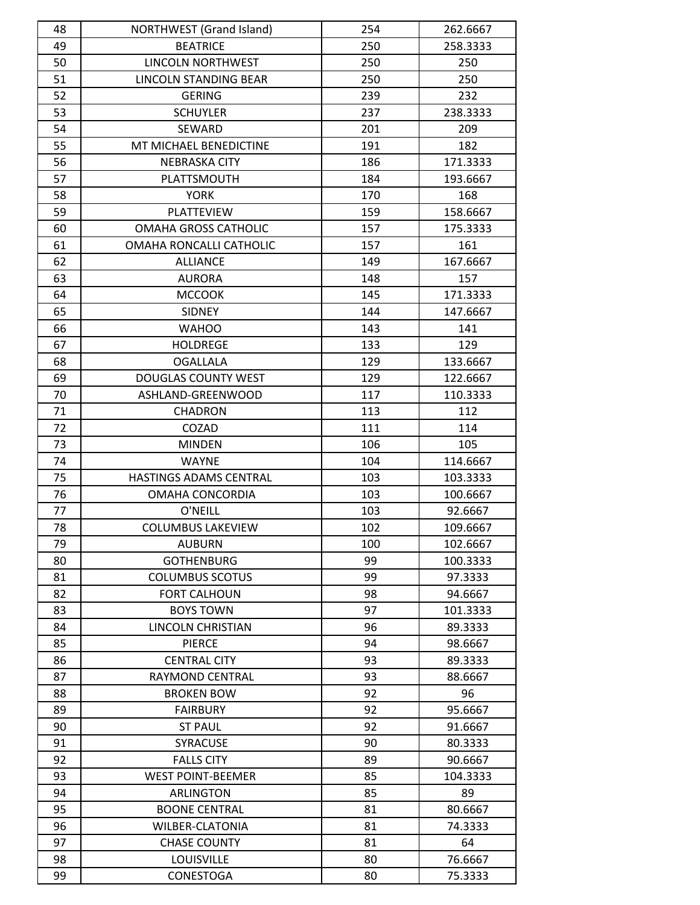| 48 | <b>NORTHWEST</b> (Grand Island) | 254 | 262.6667 |
|----|---------------------------------|-----|----------|
| 49 | <b>BEATRICE</b>                 | 250 | 258.3333 |
| 50 | <b>LINCOLN NORTHWEST</b>        | 250 | 250      |
| 51 | LINCOLN STANDING BEAR           | 250 | 250      |
| 52 | <b>GERING</b>                   | 239 | 232      |
| 53 | <b>SCHUYLER</b>                 | 237 | 238.3333 |
| 54 | SEWARD                          | 201 | 209      |
| 55 | MT MICHAEL BENEDICTINE          | 191 | 182      |
| 56 | <b>NEBRASKA CITY</b>            | 186 | 171.3333 |
| 57 | PLATTSMOUTH                     | 184 | 193.6667 |
| 58 | <b>YORK</b>                     | 170 | 168      |
| 59 | <b>PLATTEVIEW</b>               | 159 | 158.6667 |
| 60 | <b>OMAHA GROSS CATHOLIC</b>     | 157 | 175.3333 |
| 61 | OMAHA RONCALLI CATHOLIC         | 157 | 161      |
| 62 | <b>ALLIANCE</b>                 | 149 | 167.6667 |
| 63 | <b>AURORA</b>                   | 148 | 157      |
| 64 | <b>MCCOOK</b>                   | 145 | 171.3333 |
| 65 | <b>SIDNEY</b>                   | 144 | 147.6667 |
| 66 | <b>WAHOO</b>                    | 143 | 141      |
| 67 | <b>HOLDREGE</b>                 | 133 | 129      |
| 68 | <b>OGALLALA</b>                 | 129 | 133.6667 |
| 69 | <b>DOUGLAS COUNTY WEST</b>      | 129 | 122.6667 |
| 70 | ASHLAND-GREENWOOD               | 117 | 110.3333 |
| 71 | <b>CHADRON</b>                  | 113 | 112      |
| 72 | COZAD                           | 111 | 114      |
| 73 | <b>MINDEN</b>                   | 106 | 105      |
| 74 | <b>WAYNE</b>                    | 104 | 114.6667 |
| 75 | HASTINGS ADAMS CENTRAL          | 103 | 103.3333 |
| 76 | OMAHA CONCORDIA                 | 103 | 100.6667 |
| 77 | O'NEILL                         | 103 | 92.6667  |
| 78 | <b>COLUMBUS LAKEVIEW</b>        | 102 | 109.6667 |
| 79 | <b>AUBURN</b>                   | 100 | 102.6667 |
| 80 | <b>GOTHENBURG</b>               | 99  | 100.3333 |
| 81 | <b>COLUMBUS SCOTUS</b>          | 99  | 97.3333  |
| 82 | <b>FORT CALHOUN</b>             | 98  | 94.6667  |
| 83 | <b>BOYS TOWN</b>                | 97  | 101.3333 |
| 84 | LINCOLN CHRISTIAN               | 96  | 89.3333  |
| 85 | <b>PIERCE</b>                   | 94  | 98.6667  |
| 86 | <b>CENTRAL CITY</b>             | 93  | 89.3333  |
| 87 | RAYMOND CENTRAL                 | 93  | 88.6667  |
| 88 | <b>BROKEN BOW</b>               | 92  | 96       |
| 89 | <b>FAIRBURY</b>                 | 92  | 95.6667  |
| 90 | <b>ST PAUL</b>                  | 92  | 91.6667  |
| 91 | <b>SYRACUSE</b>                 | 90  | 80.3333  |
| 92 | <b>FALLS CITY</b>               | 89  | 90.6667  |
| 93 | <b>WEST POINT-BEEMER</b>        | 85  | 104.3333 |
| 94 | ARLINGTON                       | 85  | 89       |
| 95 | <b>BOONE CENTRAL</b>            | 81  | 80.6667  |
| 96 | <b>WILBER-CLATONIA</b>          | 81  | 74.3333  |
| 97 | <b>CHASE COUNTY</b>             | 81  | 64       |
| 98 | LOUISVILLE                      | 80  | 76.6667  |
| 99 | <b>CONESTOGA</b>                | 80  | 75.3333  |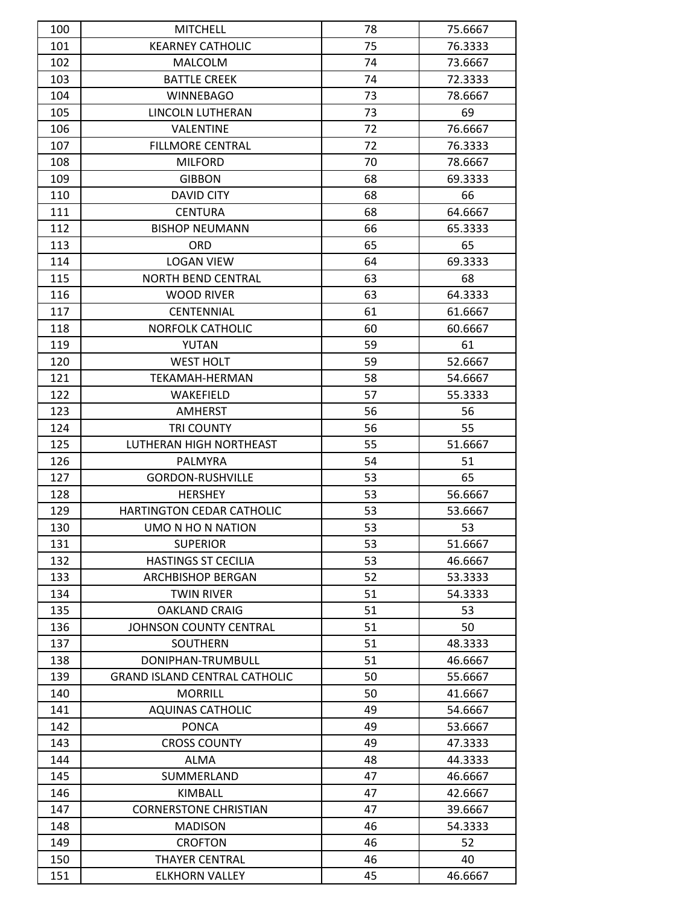| 100<br><b>MITCHELL</b><br>78<br>75.6667<br><b>KEARNEY CATHOLIC</b><br>75<br>101<br>76.3333<br>102<br><b>MALCOLM</b><br>74<br>73.6667<br>74<br>103<br><b>BATTLE CREEK</b><br>72.3333<br>104<br><b>WINNEBAGO</b><br>73<br>78.6667<br>69<br>105<br>LINCOLN LUTHERAN<br>73<br>72<br>76.6667<br>106<br>VALENTINE<br>72<br>107<br><b>FILLMORE CENTRAL</b><br>76.3333<br>70<br>108<br><b>MILFORD</b><br>78.6667<br>109<br>68<br><b>GIBBON</b><br>69.3333<br>66<br>110<br>68<br><b>DAVID CITY</b><br>111<br><b>CENTURA</b><br>68<br>64.6667<br>66<br>112<br><b>BISHOP NEUMANN</b><br>65.3333<br>113<br>65<br>65<br><b>ORD</b><br>114<br><b>LOGAN VIEW</b><br>64<br>69.3333<br>115<br>63<br>68<br><b>NORTH BEND CENTRAL</b><br>116<br>63<br>64.3333<br><b>WOOD RIVER</b><br>117<br><b>CENTENNIAL</b><br>61<br>61.6667<br>118<br><b>NORFOLK CATHOLIC</b><br>60<br>60.6667<br>119<br>59<br>61<br>YUTAN<br>120<br><b>WEST HOLT</b><br>59<br>52.6667<br>121<br>TEKAMAH-HERMAN<br>58<br>54.6667<br>122<br>57<br>55.3333<br>WAKEFIELD<br>123<br>AMHERST<br>56<br>56<br>55<br>56<br>124<br>TRI COUNTY<br>55<br>125<br>LUTHERAN HIGH NORTHEAST<br>51.6667<br>51<br>126<br>54<br><b>PALMYRA</b><br>127<br>53<br>65<br><b>GORDON-RUSHVILLE</b><br>128<br><b>HERSHEY</b><br>53<br>56.6667<br>53<br>129<br>HARTINGTON CEDAR CATHOLIC<br>53.6667<br>53<br>53<br>130<br>UMO N HO N NATION<br>53<br>131<br>51.6667<br><b>SUPERIOR</b><br><b>HASTINGS ST CECILIA</b><br>53<br>132<br>46.6667<br><b>ARCHBISHOP BERGAN</b><br>52<br>133<br>53.3333<br>134<br>51<br><b>TWIN RIVER</b><br>54.3333<br>135<br>51<br>53<br><b>OAKLAND CRAIG</b><br>136<br>JOHNSON COUNTY CENTRAL<br>51<br>50<br>51<br>137<br>SOUTHERN<br>48.3333<br>138<br>DONIPHAN-TRUMBULL<br>51<br>46.6667<br>50<br>139<br><b>GRAND ISLAND CENTRAL CATHOLIC</b><br>55.6667<br>140<br><b>MORRILL</b><br>50<br>41.6667<br>141<br>49<br>AQUINAS CATHOLIC<br>54.6667<br>142<br><b>PONCA</b><br>49<br>53.6667<br><b>CROSS COUNTY</b><br>49<br>143<br>47.3333<br>48<br>144<br>ALMA<br>44.3333<br>145<br>SUMMERLAND<br>47<br>46.6667<br>47<br>146<br>KIMBALL<br>42.6667<br>147<br><b>CORNERSTONE CHRISTIAN</b><br>47<br>39.6667<br>148<br>46<br>54.3333<br><b>MADISON</b><br>149<br><b>CROFTON</b><br>46<br>52<br>150<br><b>THAYER CENTRAL</b><br>46<br>40<br><b>ELKHORN VALLEY</b><br>45<br>46.6667 |     |  |  |
|----------------------------------------------------------------------------------------------------------------------------------------------------------------------------------------------------------------------------------------------------------------------------------------------------------------------------------------------------------------------------------------------------------------------------------------------------------------------------------------------------------------------------------------------------------------------------------------------------------------------------------------------------------------------------------------------------------------------------------------------------------------------------------------------------------------------------------------------------------------------------------------------------------------------------------------------------------------------------------------------------------------------------------------------------------------------------------------------------------------------------------------------------------------------------------------------------------------------------------------------------------------------------------------------------------------------------------------------------------------------------------------------------------------------------------------------------------------------------------------------------------------------------------------------------------------------------------------------------------------------------------------------------------------------------------------------------------------------------------------------------------------------------------------------------------------------------------------------------------------------------------------------------------------------------------------------------------------------------------------------------------------------------------------------------------------------------------------------------------------------------------------------------------------------------------------------------------------------------------------------------------------------------------------------------------------------------------|-----|--|--|
|                                                                                                                                                                                                                                                                                                                                                                                                                                                                                                                                                                                                                                                                                                                                                                                                                                                                                                                                                                                                                                                                                                                                                                                                                                                                                                                                                                                                                                                                                                                                                                                                                                                                                                                                                                                                                                                                                                                                                                                                                                                                                                                                                                                                                                                                                                                                  |     |  |  |
|                                                                                                                                                                                                                                                                                                                                                                                                                                                                                                                                                                                                                                                                                                                                                                                                                                                                                                                                                                                                                                                                                                                                                                                                                                                                                                                                                                                                                                                                                                                                                                                                                                                                                                                                                                                                                                                                                                                                                                                                                                                                                                                                                                                                                                                                                                                                  |     |  |  |
|                                                                                                                                                                                                                                                                                                                                                                                                                                                                                                                                                                                                                                                                                                                                                                                                                                                                                                                                                                                                                                                                                                                                                                                                                                                                                                                                                                                                                                                                                                                                                                                                                                                                                                                                                                                                                                                                                                                                                                                                                                                                                                                                                                                                                                                                                                                                  |     |  |  |
|                                                                                                                                                                                                                                                                                                                                                                                                                                                                                                                                                                                                                                                                                                                                                                                                                                                                                                                                                                                                                                                                                                                                                                                                                                                                                                                                                                                                                                                                                                                                                                                                                                                                                                                                                                                                                                                                                                                                                                                                                                                                                                                                                                                                                                                                                                                                  |     |  |  |
|                                                                                                                                                                                                                                                                                                                                                                                                                                                                                                                                                                                                                                                                                                                                                                                                                                                                                                                                                                                                                                                                                                                                                                                                                                                                                                                                                                                                                                                                                                                                                                                                                                                                                                                                                                                                                                                                                                                                                                                                                                                                                                                                                                                                                                                                                                                                  |     |  |  |
|                                                                                                                                                                                                                                                                                                                                                                                                                                                                                                                                                                                                                                                                                                                                                                                                                                                                                                                                                                                                                                                                                                                                                                                                                                                                                                                                                                                                                                                                                                                                                                                                                                                                                                                                                                                                                                                                                                                                                                                                                                                                                                                                                                                                                                                                                                                                  |     |  |  |
|                                                                                                                                                                                                                                                                                                                                                                                                                                                                                                                                                                                                                                                                                                                                                                                                                                                                                                                                                                                                                                                                                                                                                                                                                                                                                                                                                                                                                                                                                                                                                                                                                                                                                                                                                                                                                                                                                                                                                                                                                                                                                                                                                                                                                                                                                                                                  |     |  |  |
|                                                                                                                                                                                                                                                                                                                                                                                                                                                                                                                                                                                                                                                                                                                                                                                                                                                                                                                                                                                                                                                                                                                                                                                                                                                                                                                                                                                                                                                                                                                                                                                                                                                                                                                                                                                                                                                                                                                                                                                                                                                                                                                                                                                                                                                                                                                                  |     |  |  |
|                                                                                                                                                                                                                                                                                                                                                                                                                                                                                                                                                                                                                                                                                                                                                                                                                                                                                                                                                                                                                                                                                                                                                                                                                                                                                                                                                                                                                                                                                                                                                                                                                                                                                                                                                                                                                                                                                                                                                                                                                                                                                                                                                                                                                                                                                                                                  |     |  |  |
|                                                                                                                                                                                                                                                                                                                                                                                                                                                                                                                                                                                                                                                                                                                                                                                                                                                                                                                                                                                                                                                                                                                                                                                                                                                                                                                                                                                                                                                                                                                                                                                                                                                                                                                                                                                                                                                                                                                                                                                                                                                                                                                                                                                                                                                                                                                                  |     |  |  |
|                                                                                                                                                                                                                                                                                                                                                                                                                                                                                                                                                                                                                                                                                                                                                                                                                                                                                                                                                                                                                                                                                                                                                                                                                                                                                                                                                                                                                                                                                                                                                                                                                                                                                                                                                                                                                                                                                                                                                                                                                                                                                                                                                                                                                                                                                                                                  |     |  |  |
|                                                                                                                                                                                                                                                                                                                                                                                                                                                                                                                                                                                                                                                                                                                                                                                                                                                                                                                                                                                                                                                                                                                                                                                                                                                                                                                                                                                                                                                                                                                                                                                                                                                                                                                                                                                                                                                                                                                                                                                                                                                                                                                                                                                                                                                                                                                                  |     |  |  |
|                                                                                                                                                                                                                                                                                                                                                                                                                                                                                                                                                                                                                                                                                                                                                                                                                                                                                                                                                                                                                                                                                                                                                                                                                                                                                                                                                                                                                                                                                                                                                                                                                                                                                                                                                                                                                                                                                                                                                                                                                                                                                                                                                                                                                                                                                                                                  |     |  |  |
|                                                                                                                                                                                                                                                                                                                                                                                                                                                                                                                                                                                                                                                                                                                                                                                                                                                                                                                                                                                                                                                                                                                                                                                                                                                                                                                                                                                                                                                                                                                                                                                                                                                                                                                                                                                                                                                                                                                                                                                                                                                                                                                                                                                                                                                                                                                                  |     |  |  |
|                                                                                                                                                                                                                                                                                                                                                                                                                                                                                                                                                                                                                                                                                                                                                                                                                                                                                                                                                                                                                                                                                                                                                                                                                                                                                                                                                                                                                                                                                                                                                                                                                                                                                                                                                                                                                                                                                                                                                                                                                                                                                                                                                                                                                                                                                                                                  |     |  |  |
|                                                                                                                                                                                                                                                                                                                                                                                                                                                                                                                                                                                                                                                                                                                                                                                                                                                                                                                                                                                                                                                                                                                                                                                                                                                                                                                                                                                                                                                                                                                                                                                                                                                                                                                                                                                                                                                                                                                                                                                                                                                                                                                                                                                                                                                                                                                                  |     |  |  |
|                                                                                                                                                                                                                                                                                                                                                                                                                                                                                                                                                                                                                                                                                                                                                                                                                                                                                                                                                                                                                                                                                                                                                                                                                                                                                                                                                                                                                                                                                                                                                                                                                                                                                                                                                                                                                                                                                                                                                                                                                                                                                                                                                                                                                                                                                                                                  |     |  |  |
|                                                                                                                                                                                                                                                                                                                                                                                                                                                                                                                                                                                                                                                                                                                                                                                                                                                                                                                                                                                                                                                                                                                                                                                                                                                                                                                                                                                                                                                                                                                                                                                                                                                                                                                                                                                                                                                                                                                                                                                                                                                                                                                                                                                                                                                                                                                                  |     |  |  |
|                                                                                                                                                                                                                                                                                                                                                                                                                                                                                                                                                                                                                                                                                                                                                                                                                                                                                                                                                                                                                                                                                                                                                                                                                                                                                                                                                                                                                                                                                                                                                                                                                                                                                                                                                                                                                                                                                                                                                                                                                                                                                                                                                                                                                                                                                                                                  |     |  |  |
|                                                                                                                                                                                                                                                                                                                                                                                                                                                                                                                                                                                                                                                                                                                                                                                                                                                                                                                                                                                                                                                                                                                                                                                                                                                                                                                                                                                                                                                                                                                                                                                                                                                                                                                                                                                                                                                                                                                                                                                                                                                                                                                                                                                                                                                                                                                                  |     |  |  |
|                                                                                                                                                                                                                                                                                                                                                                                                                                                                                                                                                                                                                                                                                                                                                                                                                                                                                                                                                                                                                                                                                                                                                                                                                                                                                                                                                                                                                                                                                                                                                                                                                                                                                                                                                                                                                                                                                                                                                                                                                                                                                                                                                                                                                                                                                                                                  |     |  |  |
|                                                                                                                                                                                                                                                                                                                                                                                                                                                                                                                                                                                                                                                                                                                                                                                                                                                                                                                                                                                                                                                                                                                                                                                                                                                                                                                                                                                                                                                                                                                                                                                                                                                                                                                                                                                                                                                                                                                                                                                                                                                                                                                                                                                                                                                                                                                                  |     |  |  |
|                                                                                                                                                                                                                                                                                                                                                                                                                                                                                                                                                                                                                                                                                                                                                                                                                                                                                                                                                                                                                                                                                                                                                                                                                                                                                                                                                                                                                                                                                                                                                                                                                                                                                                                                                                                                                                                                                                                                                                                                                                                                                                                                                                                                                                                                                                                                  |     |  |  |
|                                                                                                                                                                                                                                                                                                                                                                                                                                                                                                                                                                                                                                                                                                                                                                                                                                                                                                                                                                                                                                                                                                                                                                                                                                                                                                                                                                                                                                                                                                                                                                                                                                                                                                                                                                                                                                                                                                                                                                                                                                                                                                                                                                                                                                                                                                                                  |     |  |  |
|                                                                                                                                                                                                                                                                                                                                                                                                                                                                                                                                                                                                                                                                                                                                                                                                                                                                                                                                                                                                                                                                                                                                                                                                                                                                                                                                                                                                                                                                                                                                                                                                                                                                                                                                                                                                                                                                                                                                                                                                                                                                                                                                                                                                                                                                                                                                  |     |  |  |
|                                                                                                                                                                                                                                                                                                                                                                                                                                                                                                                                                                                                                                                                                                                                                                                                                                                                                                                                                                                                                                                                                                                                                                                                                                                                                                                                                                                                                                                                                                                                                                                                                                                                                                                                                                                                                                                                                                                                                                                                                                                                                                                                                                                                                                                                                                                                  |     |  |  |
|                                                                                                                                                                                                                                                                                                                                                                                                                                                                                                                                                                                                                                                                                                                                                                                                                                                                                                                                                                                                                                                                                                                                                                                                                                                                                                                                                                                                                                                                                                                                                                                                                                                                                                                                                                                                                                                                                                                                                                                                                                                                                                                                                                                                                                                                                                                                  |     |  |  |
|                                                                                                                                                                                                                                                                                                                                                                                                                                                                                                                                                                                                                                                                                                                                                                                                                                                                                                                                                                                                                                                                                                                                                                                                                                                                                                                                                                                                                                                                                                                                                                                                                                                                                                                                                                                                                                                                                                                                                                                                                                                                                                                                                                                                                                                                                                                                  |     |  |  |
|                                                                                                                                                                                                                                                                                                                                                                                                                                                                                                                                                                                                                                                                                                                                                                                                                                                                                                                                                                                                                                                                                                                                                                                                                                                                                                                                                                                                                                                                                                                                                                                                                                                                                                                                                                                                                                                                                                                                                                                                                                                                                                                                                                                                                                                                                                                                  |     |  |  |
|                                                                                                                                                                                                                                                                                                                                                                                                                                                                                                                                                                                                                                                                                                                                                                                                                                                                                                                                                                                                                                                                                                                                                                                                                                                                                                                                                                                                                                                                                                                                                                                                                                                                                                                                                                                                                                                                                                                                                                                                                                                                                                                                                                                                                                                                                                                                  |     |  |  |
|                                                                                                                                                                                                                                                                                                                                                                                                                                                                                                                                                                                                                                                                                                                                                                                                                                                                                                                                                                                                                                                                                                                                                                                                                                                                                                                                                                                                                                                                                                                                                                                                                                                                                                                                                                                                                                                                                                                                                                                                                                                                                                                                                                                                                                                                                                                                  |     |  |  |
|                                                                                                                                                                                                                                                                                                                                                                                                                                                                                                                                                                                                                                                                                                                                                                                                                                                                                                                                                                                                                                                                                                                                                                                                                                                                                                                                                                                                                                                                                                                                                                                                                                                                                                                                                                                                                                                                                                                                                                                                                                                                                                                                                                                                                                                                                                                                  |     |  |  |
|                                                                                                                                                                                                                                                                                                                                                                                                                                                                                                                                                                                                                                                                                                                                                                                                                                                                                                                                                                                                                                                                                                                                                                                                                                                                                                                                                                                                                                                                                                                                                                                                                                                                                                                                                                                                                                                                                                                                                                                                                                                                                                                                                                                                                                                                                                                                  |     |  |  |
|                                                                                                                                                                                                                                                                                                                                                                                                                                                                                                                                                                                                                                                                                                                                                                                                                                                                                                                                                                                                                                                                                                                                                                                                                                                                                                                                                                                                                                                                                                                                                                                                                                                                                                                                                                                                                                                                                                                                                                                                                                                                                                                                                                                                                                                                                                                                  |     |  |  |
|                                                                                                                                                                                                                                                                                                                                                                                                                                                                                                                                                                                                                                                                                                                                                                                                                                                                                                                                                                                                                                                                                                                                                                                                                                                                                                                                                                                                                                                                                                                                                                                                                                                                                                                                                                                                                                                                                                                                                                                                                                                                                                                                                                                                                                                                                                                                  |     |  |  |
|                                                                                                                                                                                                                                                                                                                                                                                                                                                                                                                                                                                                                                                                                                                                                                                                                                                                                                                                                                                                                                                                                                                                                                                                                                                                                                                                                                                                                                                                                                                                                                                                                                                                                                                                                                                                                                                                                                                                                                                                                                                                                                                                                                                                                                                                                                                                  |     |  |  |
|                                                                                                                                                                                                                                                                                                                                                                                                                                                                                                                                                                                                                                                                                                                                                                                                                                                                                                                                                                                                                                                                                                                                                                                                                                                                                                                                                                                                                                                                                                                                                                                                                                                                                                                                                                                                                                                                                                                                                                                                                                                                                                                                                                                                                                                                                                                                  |     |  |  |
|                                                                                                                                                                                                                                                                                                                                                                                                                                                                                                                                                                                                                                                                                                                                                                                                                                                                                                                                                                                                                                                                                                                                                                                                                                                                                                                                                                                                                                                                                                                                                                                                                                                                                                                                                                                                                                                                                                                                                                                                                                                                                                                                                                                                                                                                                                                                  |     |  |  |
|                                                                                                                                                                                                                                                                                                                                                                                                                                                                                                                                                                                                                                                                                                                                                                                                                                                                                                                                                                                                                                                                                                                                                                                                                                                                                                                                                                                                                                                                                                                                                                                                                                                                                                                                                                                                                                                                                                                                                                                                                                                                                                                                                                                                                                                                                                                                  |     |  |  |
|                                                                                                                                                                                                                                                                                                                                                                                                                                                                                                                                                                                                                                                                                                                                                                                                                                                                                                                                                                                                                                                                                                                                                                                                                                                                                                                                                                                                                                                                                                                                                                                                                                                                                                                                                                                                                                                                                                                                                                                                                                                                                                                                                                                                                                                                                                                                  |     |  |  |
|                                                                                                                                                                                                                                                                                                                                                                                                                                                                                                                                                                                                                                                                                                                                                                                                                                                                                                                                                                                                                                                                                                                                                                                                                                                                                                                                                                                                                                                                                                                                                                                                                                                                                                                                                                                                                                                                                                                                                                                                                                                                                                                                                                                                                                                                                                                                  |     |  |  |
|                                                                                                                                                                                                                                                                                                                                                                                                                                                                                                                                                                                                                                                                                                                                                                                                                                                                                                                                                                                                                                                                                                                                                                                                                                                                                                                                                                                                                                                                                                                                                                                                                                                                                                                                                                                                                                                                                                                                                                                                                                                                                                                                                                                                                                                                                                                                  |     |  |  |
|                                                                                                                                                                                                                                                                                                                                                                                                                                                                                                                                                                                                                                                                                                                                                                                                                                                                                                                                                                                                                                                                                                                                                                                                                                                                                                                                                                                                                                                                                                                                                                                                                                                                                                                                                                                                                                                                                                                                                                                                                                                                                                                                                                                                                                                                                                                                  |     |  |  |
|                                                                                                                                                                                                                                                                                                                                                                                                                                                                                                                                                                                                                                                                                                                                                                                                                                                                                                                                                                                                                                                                                                                                                                                                                                                                                                                                                                                                                                                                                                                                                                                                                                                                                                                                                                                                                                                                                                                                                                                                                                                                                                                                                                                                                                                                                                                                  |     |  |  |
|                                                                                                                                                                                                                                                                                                                                                                                                                                                                                                                                                                                                                                                                                                                                                                                                                                                                                                                                                                                                                                                                                                                                                                                                                                                                                                                                                                                                                                                                                                                                                                                                                                                                                                                                                                                                                                                                                                                                                                                                                                                                                                                                                                                                                                                                                                                                  |     |  |  |
|                                                                                                                                                                                                                                                                                                                                                                                                                                                                                                                                                                                                                                                                                                                                                                                                                                                                                                                                                                                                                                                                                                                                                                                                                                                                                                                                                                                                                                                                                                                                                                                                                                                                                                                                                                                                                                                                                                                                                                                                                                                                                                                                                                                                                                                                                                                                  |     |  |  |
|                                                                                                                                                                                                                                                                                                                                                                                                                                                                                                                                                                                                                                                                                                                                                                                                                                                                                                                                                                                                                                                                                                                                                                                                                                                                                                                                                                                                                                                                                                                                                                                                                                                                                                                                                                                                                                                                                                                                                                                                                                                                                                                                                                                                                                                                                                                                  |     |  |  |
|                                                                                                                                                                                                                                                                                                                                                                                                                                                                                                                                                                                                                                                                                                                                                                                                                                                                                                                                                                                                                                                                                                                                                                                                                                                                                                                                                                                                                                                                                                                                                                                                                                                                                                                                                                                                                                                                                                                                                                                                                                                                                                                                                                                                                                                                                                                                  |     |  |  |
|                                                                                                                                                                                                                                                                                                                                                                                                                                                                                                                                                                                                                                                                                                                                                                                                                                                                                                                                                                                                                                                                                                                                                                                                                                                                                                                                                                                                                                                                                                                                                                                                                                                                                                                                                                                                                                                                                                                                                                                                                                                                                                                                                                                                                                                                                                                                  |     |  |  |
|                                                                                                                                                                                                                                                                                                                                                                                                                                                                                                                                                                                                                                                                                                                                                                                                                                                                                                                                                                                                                                                                                                                                                                                                                                                                                                                                                                                                                                                                                                                                                                                                                                                                                                                                                                                                                                                                                                                                                                                                                                                                                                                                                                                                                                                                                                                                  |     |  |  |
|                                                                                                                                                                                                                                                                                                                                                                                                                                                                                                                                                                                                                                                                                                                                                                                                                                                                                                                                                                                                                                                                                                                                                                                                                                                                                                                                                                                                                                                                                                                                                                                                                                                                                                                                                                                                                                                                                                                                                                                                                                                                                                                                                                                                                                                                                                                                  |     |  |  |
|                                                                                                                                                                                                                                                                                                                                                                                                                                                                                                                                                                                                                                                                                                                                                                                                                                                                                                                                                                                                                                                                                                                                                                                                                                                                                                                                                                                                                                                                                                                                                                                                                                                                                                                                                                                                                                                                                                                                                                                                                                                                                                                                                                                                                                                                                                                                  | 151 |  |  |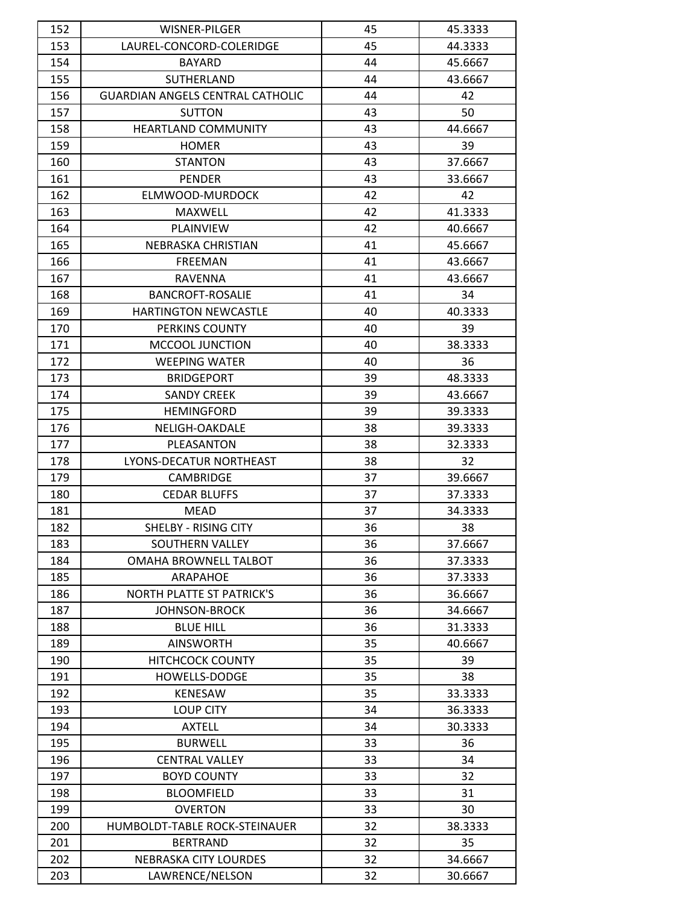| 152 | WISNER-PILGER                           | 45 | 45.3333 |
|-----|-----------------------------------------|----|---------|
| 153 | LAUREL-CONCORD-COLERIDGE                | 45 | 44.3333 |
| 154 | <b>BAYARD</b>                           | 44 | 45.6667 |
| 155 | <b>SUTHERLAND</b>                       | 44 | 43.6667 |
| 156 | <b>GUARDIAN ANGELS CENTRAL CATHOLIC</b> | 44 | 42      |
| 157 | <b>SUTTON</b>                           | 43 | 50      |
| 158 | <b>HEARTLAND COMMUNITY</b>              | 43 | 44.6667 |
| 159 | <b>HOMER</b>                            | 43 | 39      |
| 160 | <b>STANTON</b>                          | 43 | 37.6667 |
| 161 | <b>PENDER</b>                           | 43 | 33.6667 |
| 162 | ELMWOOD-MURDOCK                         | 42 | 42      |
| 163 | <b>MAXWELL</b>                          | 42 | 41.3333 |
| 164 | <b>PLAINVIEW</b>                        | 42 | 40.6667 |
| 165 | NEBRASKA CHRISTIAN                      | 41 | 45.6667 |
| 166 | <b>FREEMAN</b>                          | 41 | 43.6667 |
| 167 | <b>RAVENNA</b>                          | 41 | 43.6667 |
| 168 | <b>BANCROFT-ROSALIE</b>                 | 41 | 34      |
| 169 | <b>HARTINGTON NEWCASTLE</b>             | 40 | 40.3333 |
| 170 | <b>PERKINS COUNTY</b>                   | 40 | 39      |
| 171 | MCCOOL JUNCTION                         | 40 | 38.3333 |
| 172 | <b>WEEPING WATER</b>                    | 40 | 36      |
| 173 | <b>BRIDGEPORT</b>                       | 39 | 48.3333 |
| 174 | <b>SANDY CREEK</b>                      | 39 | 43.6667 |
| 175 | <b>HEMINGFORD</b>                       | 39 | 39.3333 |
| 176 | NELIGH-OAKDALE                          | 38 | 39.3333 |
| 177 | PLEASANTON                              | 38 | 32.3333 |
| 178 | LYONS-DECATUR NORTHEAST                 | 38 | 32      |
| 179 | <b>CAMBRIDGE</b>                        | 37 | 39.6667 |
| 180 | <b>CEDAR BLUFFS</b>                     | 37 | 37.3333 |
| 181 | <b>MEAD</b>                             | 37 | 34.3333 |
| 182 | SHELBY - RISING CITY                    | 36 | 38      |
| 183 | SOUTHERN VALLEY                         | 36 | 37.6667 |
| 184 | OMAHA BROWNELL TALBOT                   | 36 | 37.3333 |
| 185 | <b>ARAPAHOE</b>                         | 36 | 37.3333 |
| 186 | <b>NORTH PLATTE ST PATRICK'S</b>        | 36 | 36.6667 |
| 187 | <b>JOHNSON-BROCK</b>                    | 36 | 34.6667 |
| 188 | <b>BLUE HILL</b>                        | 36 | 31.3333 |
| 189 | <b>AINSWORTH</b>                        | 35 | 40.6667 |
| 190 | <b>HITCHCOCK COUNTY</b>                 | 35 | 39      |
| 191 | HOWELLS-DODGE                           | 35 | 38      |
| 192 | <b>KENESAW</b>                          | 35 | 33.3333 |
| 193 | <b>LOUP CITY</b>                        | 34 | 36.3333 |
| 194 | <b>AXTELL</b>                           | 34 | 30.3333 |
| 195 | <b>BURWELL</b>                          | 33 | 36      |
| 196 | <b>CENTRAL VALLEY</b>                   | 33 | 34      |
| 197 | <b>BOYD COUNTY</b>                      | 33 | 32      |
| 198 | <b>BLOOMFIELD</b>                       | 33 | 31      |
| 199 | <b>OVERTON</b>                          | 33 | 30      |
| 200 | HUMBOLDT-TABLE ROCK-STEINAUER           | 32 | 38.3333 |
| 201 | <b>BERTRAND</b>                         | 32 | 35      |
| 202 | NEBRASKA CITY LOURDES                   | 32 | 34.6667 |
| 203 | LAWRENCE/NELSON                         | 32 | 30.6667 |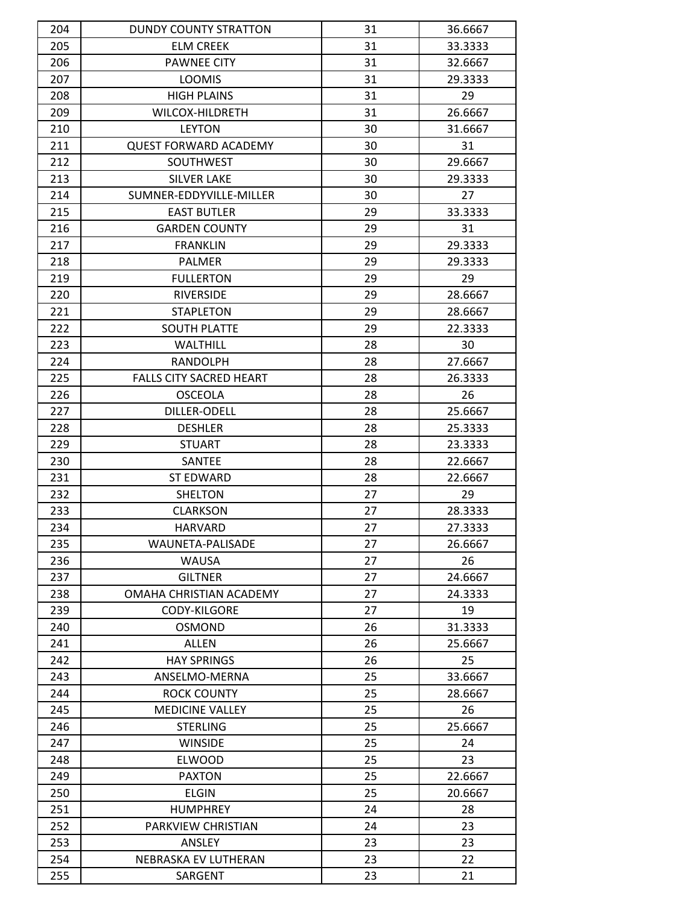| 204 | <b>DUNDY COUNTY STRATTON</b>   | 31 | 36.6667 |
|-----|--------------------------------|----|---------|
| 205 | <b>ELM CREEK</b>               | 31 | 33.3333 |
| 206 | <b>PAWNEE CITY</b>             | 31 | 32.6667 |
| 207 | <b>LOOMIS</b>                  | 31 | 29.3333 |
| 208 | <b>HIGH PLAINS</b>             | 31 | 29      |
| 209 | WILCOX-HILDRETH                | 31 | 26.6667 |
| 210 | <b>LEYTON</b>                  | 30 | 31.6667 |
| 211 | <b>QUEST FORWARD ACADEMY</b>   | 30 | 31      |
| 212 | <b>SOUTHWEST</b>               | 30 | 29.6667 |
| 213 | <b>SILVER LAKE</b>             | 30 | 29.3333 |
| 214 | SUMNER-EDDYVILLE-MILLER        | 30 | 27      |
| 215 | <b>EAST BUTLER</b>             | 29 | 33.3333 |
| 216 | <b>GARDEN COUNTY</b>           | 29 | 31      |
| 217 | <b>FRANKLIN</b>                | 29 | 29.3333 |
| 218 | <b>PALMER</b>                  | 29 | 29.3333 |
| 219 | <b>FULLERTON</b>               | 29 | 29      |
| 220 | <b>RIVERSIDE</b>               | 29 | 28.6667 |
| 221 | <b>STAPLETON</b>               | 29 | 28.6667 |
| 222 | <b>SOUTH PLATTE</b>            | 29 | 22.3333 |
| 223 | WALTHILL                       | 28 | 30      |
| 224 | RANDOLPH                       | 28 | 27.6667 |
| 225 | <b>FALLS CITY SACRED HEART</b> | 28 | 26.3333 |
| 226 | <b>OSCEOLA</b>                 | 28 | 26      |
| 227 | DILLER-ODELL                   | 28 | 25.6667 |
| 228 | <b>DESHLER</b>                 | 28 | 25.3333 |
| 229 | <b>STUART</b>                  | 28 | 23.3333 |
| 230 | SANTEE                         | 28 | 22.6667 |
| 231 | <b>ST EDWARD</b>               | 28 | 22.6667 |
| 232 | <b>SHELTON</b>                 | 27 | 29      |
| 233 | <b>CLARKSON</b>                | 27 | 28.3333 |
| 234 | <b>HARVARD</b>                 | 27 | 27.3333 |
| 235 | WAUNETA-PALISADE               | 27 | 26.6667 |
| 236 | <b>WAUSA</b>                   | 27 | 26      |
| 237 | <b>GILTNER</b>                 | 27 | 24.6667 |
| 238 | OMAHA CHRISTIAN ACADEMY        | 27 | 24.3333 |
| 239 | <b>CODY-KILGORE</b>            | 27 | 19      |
| 240 | <b>OSMOND</b>                  | 26 | 31.3333 |
| 241 | <b>ALLEN</b>                   | 26 | 25.6667 |
| 242 | <b>HAY SPRINGS</b>             | 26 | 25      |
| 243 | ANSELMO-MERNA                  | 25 | 33.6667 |
| 244 | <b>ROCK COUNTY</b>             | 25 | 28.6667 |
| 245 | <b>MEDICINE VALLEY</b>         | 25 | 26      |
| 246 | <b>STERLING</b>                | 25 | 25.6667 |
| 247 | <b>WINSIDE</b>                 | 25 | 24      |
| 248 | <b>ELWOOD</b>                  | 25 | 23      |
| 249 | <b>PAXTON</b>                  | 25 | 22.6667 |
| 250 | <b>ELGIN</b>                   | 25 | 20.6667 |
| 251 | <b>HUMPHREY</b>                | 24 | 28      |
| 252 | <b>PARKVIEW CHRISTIAN</b>      | 24 | 23      |
| 253 | ANSLEY                         | 23 | 23      |
| 254 | NEBRASKA EV LUTHERAN           | 23 | 22      |
| 255 | SARGENT                        | 23 | 21      |
|     |                                |    |         |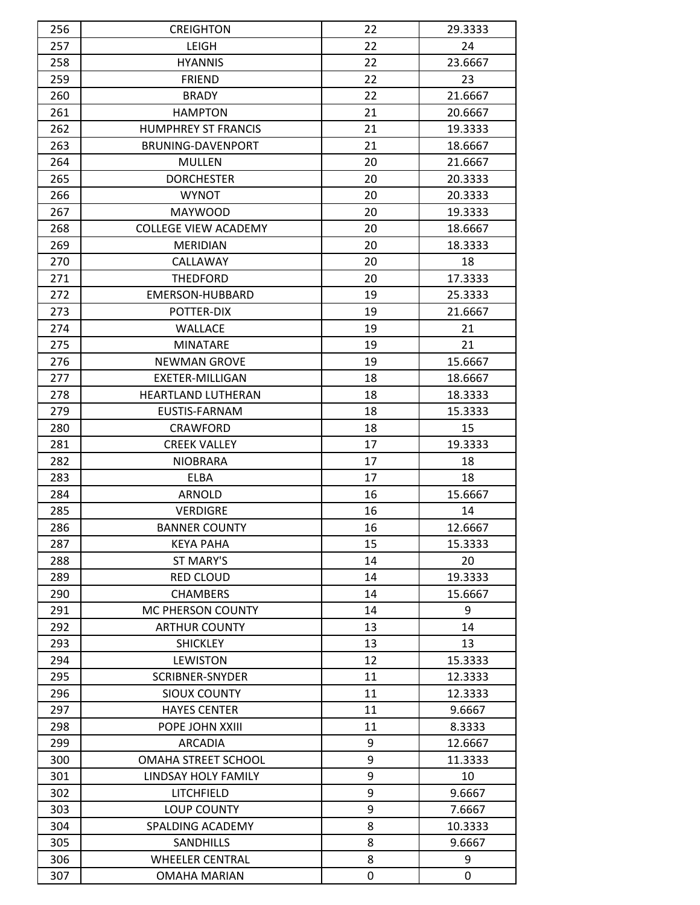| 256 | <b>CREIGHTON</b>            | 22 | 29.3333     |
|-----|-----------------------------|----|-------------|
| 257 | <b>LEIGH</b>                | 22 | 24          |
| 258 | <b>HYANNIS</b>              | 22 | 23.6667     |
| 259 | <b>FRIEND</b>               | 22 | 23          |
| 260 | <b>BRADY</b>                | 22 | 21.6667     |
| 261 | <b>HAMPTON</b>              | 21 | 20.6667     |
| 262 | <b>HUMPHREY ST FRANCIS</b>  | 21 | 19.3333     |
| 263 | BRUNING-DAVENPORT           | 21 | 18.6667     |
| 264 | <b>MULLEN</b>               | 20 | 21.6667     |
| 265 | <b>DORCHESTER</b>           | 20 | 20.3333     |
| 266 | <b>WYNOT</b>                | 20 | 20.3333     |
| 267 | <b>MAYWOOD</b>              | 20 | 19.3333     |
| 268 | <b>COLLEGE VIEW ACADEMY</b> | 20 | 18.6667     |
| 269 | <b>MERIDIAN</b>             | 20 | 18.3333     |
| 270 | CALLAWAY                    | 20 | 18          |
| 271 | <b>THEDFORD</b>             | 20 | 17.3333     |
| 272 | EMERSON-HUBBARD             | 19 | 25.3333     |
| 273 | POTTER-DIX                  | 19 | 21.6667     |
| 274 | <b>WALLACE</b>              | 19 | 21          |
| 275 | <b>MINATARE</b>             | 19 | 21          |
| 276 | <b>NEWMAN GROVE</b>         | 19 | 15.6667     |
| 277 | <b>EXETER-MILLIGAN</b>      | 18 | 18.6667     |
| 278 | <b>HEARTLAND LUTHERAN</b>   | 18 | 18.3333     |
| 279 | EUSTIS-FARNAM               | 18 | 15.3333     |
| 280 | CRAWFORD                    | 18 | 15          |
| 281 | <b>CREEK VALLEY</b>         | 17 | 19.3333     |
| 282 | <b>NIOBRARA</b>             | 17 | 18          |
| 283 | <b>ELBA</b>                 | 17 | 18          |
| 284 | ARNOLD                      | 16 | 15.6667     |
| 285 | <b>VERDIGRE</b>             | 16 | 14          |
| 286 | <b>BANNER COUNTY</b>        | 16 | 12.6667     |
| 287 | KEYA PAHA                   | 15 | 15.3333     |
| 288 | ST MARY'S                   | 14 | 20          |
| 289 | <b>RED CLOUD</b>            | 14 | 19.3333     |
| 290 | <b>CHAMBERS</b>             | 14 | 15.6667     |
| 291 | MC PHERSON COUNTY           | 14 | 9           |
| 292 | <b>ARTHUR COUNTY</b>        | 13 | 14          |
| 293 | <b>SHICKLEY</b>             | 13 | 13          |
| 294 | <b>LEWISTON</b>             | 12 | 15.3333     |
| 295 | SCRIBNER-SNYDER             | 11 | 12.3333     |
| 296 | SIOUX COUNTY                | 11 | 12.3333     |
| 297 | <b>HAYES CENTER</b>         | 11 | 9.6667      |
| 298 | POPE JOHN XXIII             | 11 | 8.3333      |
| 299 | <b>ARCADIA</b>              | 9  | 12.6667     |
| 300 | OMAHA STREET SCHOOL         | 9  | 11.3333     |
| 301 | LINDSAY HOLY FAMILY         | 9  | 10          |
| 302 | LITCHFIELD                  | 9  | 9.6667      |
| 303 | <b>LOUP COUNTY</b>          | 9  | 7.6667      |
| 304 | SPALDING ACADEMY            | 8  | 10.3333     |
| 305 | SANDHILLS                   | 8  | 9.6667      |
| 306 | <b>WHEELER CENTRAL</b>      | 8  | 9           |
| 307 | <b>OMAHA MARIAN</b>         | 0  | $\mathbf 0$ |